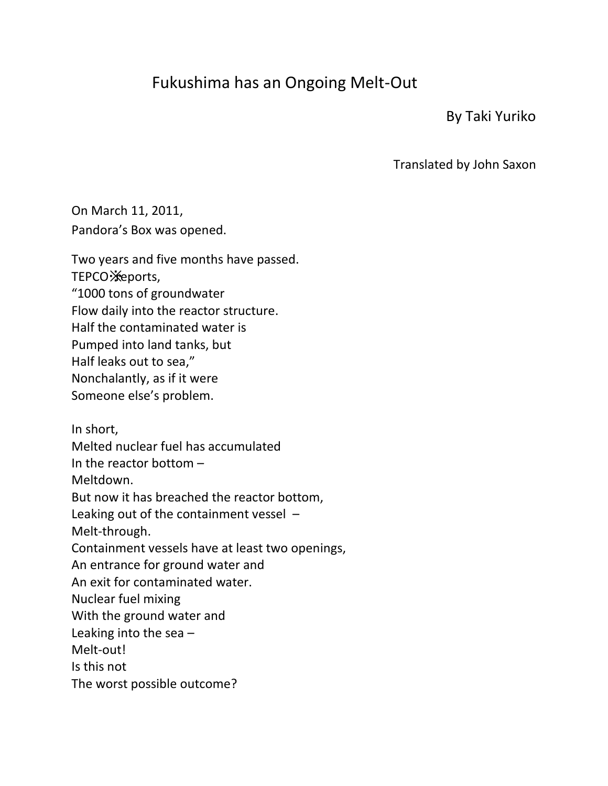## Fukushima has an Ongoing Melt-Out

By Taki Yuriko

Translated by John Saxon

On March 11, 2011, Pandora's Box was opened.

Two years and five months have passed. TEPCO **Xeports**, "1000 tons of groundwater Flow daily into the reactor structure. Half the contaminated water is Pumped into land tanks, but Half leaks out to sea," Nonchalantly, as if it were Someone else's problem.

In short, Melted nuclear fuel has accumulated In the reactor bottom – Meltdown. But now it has breached the reactor bottom, Leaking out of the containment vessel – Melt-through. Containment vessels have at least two openings, An entrance for ground water and An exit for contaminated water. Nuclear fuel mixing With the ground water and Leaking into the sea  $-$ Melt-out! Is this not

The worst possible outcome?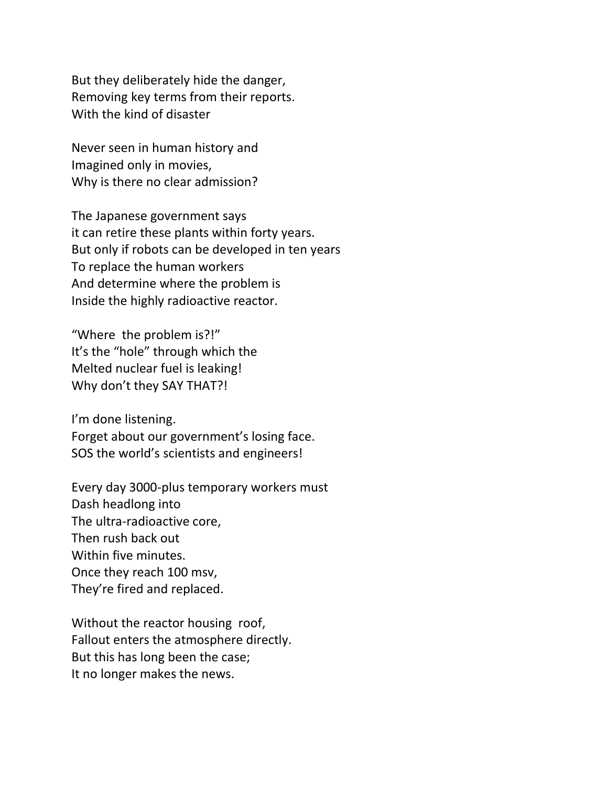But they deliberately hide the danger, Removing key terms from their reports. With the kind of disaster

Never seen in human history and Imagined only in movies, Why is there no clear admission?

The Japanese government says it can retire these plants within forty years. But only if robots can be developed in ten years To replace the human workers And determine where the problem is Inside the highly radioactive reactor.

"Where the problem is?!" It's the "hole" through which the Melted nuclear fuel is leaking! Why don't they SAY THAT?!

I'm done listening. Forget about our government's losing face. SOS the world's scientists and engineers!

Every day 3000-plus temporary workers must Dash headlong into The ultra-radioactive core, Then rush back out Within five minutes. Once they reach 100 msv, They're fired and replaced.

Without the reactor housing roof, Fallout enters the atmosphere directly. But this has long been the case; It no longer makes the news.